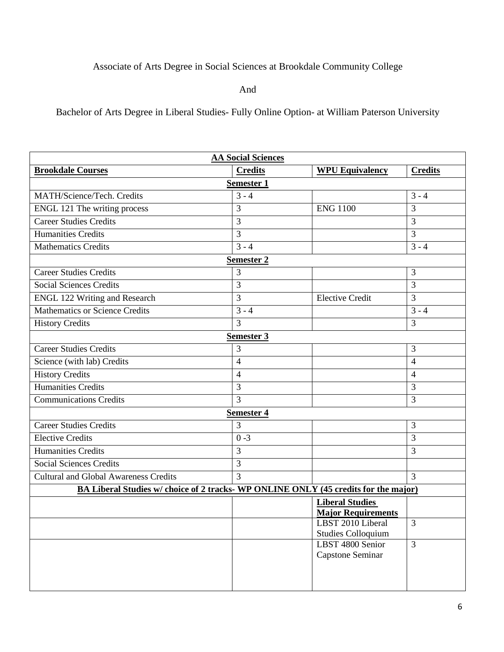## Associate of Arts Degree in Social Sciences at Brookdale Community College

And

Bachelor of Arts Degree in Liberal Studies- Fully Online Option- at William Paterson University

| <b>AA Social Sciences</b>                                                           |                   |                                                     |                |
|-------------------------------------------------------------------------------------|-------------------|-----------------------------------------------------|----------------|
| <b>Brookdale Courses</b>                                                            | <b>Credits</b>    | <b>WPU Equivalency</b>                              | <b>Credits</b> |
|                                                                                     | <b>Semester 1</b> |                                                     |                |
| MATH/Science/Tech. Credits                                                          | $3 - 4$           |                                                     | $3 - 4$        |
| ENGL 121 The writing process                                                        | 3                 | <b>ENG 1100</b>                                     | 3              |
| <b>Career Studies Credits</b>                                                       | 3                 |                                                     | $\overline{3}$ |
| <b>Humanities Credits</b>                                                           | 3                 |                                                     | $\overline{3}$ |
| <b>Mathematics Credits</b>                                                          | $3 - 4$           |                                                     | $3 - 4$        |
|                                                                                     | <b>Semester 2</b> |                                                     |                |
| <b>Career Studies Credits</b>                                                       | $\overline{3}$    |                                                     | $\overline{3}$ |
| <b>Social Sciences Credits</b>                                                      | 3                 |                                                     | $\overline{3}$ |
| <b>ENGL 122 Writing and Research</b>                                                | 3                 | <b>Elective Credit</b>                              | $\overline{3}$ |
| <b>Mathematics or Science Credits</b>                                               | $3 - 4$           |                                                     | $3 - 4$        |
| <b>History Credits</b>                                                              | 3                 |                                                     | 3              |
|                                                                                     | Semester 3        |                                                     |                |
| <b>Career Studies Credits</b>                                                       | 3                 |                                                     | $\overline{3}$ |
| Science (with lab) Credits                                                          | $\overline{4}$    |                                                     | $\overline{4}$ |
| <b>History Credits</b>                                                              | $\overline{4}$    |                                                     | $\overline{4}$ |
| <b>Humanities Credits</b>                                                           | 3                 |                                                     | 3              |
| Communications Credits                                                              | 3                 |                                                     | 3              |
|                                                                                     | <b>Semester 4</b> |                                                     |                |
| <b>Career Studies Credits</b>                                                       | 3                 |                                                     | $\overline{3}$ |
| <b>Elective Credits</b>                                                             | $0 - 3$           |                                                     | 3              |
| <b>Humanities Credits</b>                                                           | 3                 |                                                     | $\overline{3}$ |
| <b>Social Sciences Credits</b>                                                      | $\overline{3}$    |                                                     |                |
| <b>Cultural and Global Awareness Credits</b>                                        | $\overline{3}$    |                                                     | 3              |
| BA Liberal Studies w/ choice of 2 tracks- WP ONLINE ONLY (45 credits for the major) |                   |                                                     |                |
|                                                                                     |                   | <b>Liberal Studies</b><br><b>Major Requirements</b> |                |
|                                                                                     |                   | LBST 2010 Liberal<br><b>Studies Colloquium</b>      | 3              |
|                                                                                     |                   | LBST 4800 Senior<br>Capstone Seminar                | $\overline{3}$ |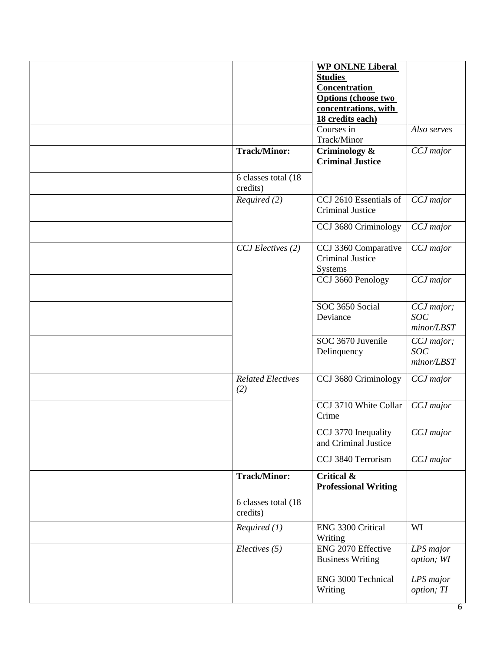|                                            | <b>Criminal Justice</b>                                    |                                   |
|--------------------------------------------|------------------------------------------------------------|-----------------------------------|
| <b>Track/Minor:</b><br>6 classes total (18 | Criminology &                                              | CCJ major                         |
| credits)                                   |                                                            |                                   |
| Required (2)                               | CCJ 2610 Essentials of<br><b>Criminal Justice</b>          | CCJ major                         |
|                                            | CCJ 3680 Criminology                                       | CCJ major                         |
| CCJ Electives (2)                          | CCJ 3360 Comparative<br><b>Criminal Justice</b><br>Systems | CCJ major                         |
|                                            | CCJ 3660 Penology                                          | CCJ major                         |
|                                            | SOC 3650 Social<br>Deviance                                | CCJ major;<br>SOC<br>minor/LBST   |
|                                            | SOC 3670 Juvenile<br>Delinquency                           | CCJ major;<br>SOC<br>minor / LBST |
| <b>Related Electives</b><br>(2)            | CCJ 3680 Criminology                                       | CCJ major                         |
|                                            | CCJ 3710 White Collar<br>Crime                             | CCJ major                         |
|                                            | CCJ 3770 Inequality<br>and Criminal Justice                | CCJ major                         |
|                                            | CCJ 3840 Terrorism                                         | CCJ major                         |
| <b>Track/Minor:</b>                        | Critical &<br><b>Professional Writing</b>                  |                                   |
| 6 classes total (18<br>credits)            |                                                            |                                   |
| Required (1)                               | ENG 3300 Critical<br>Writing                               | WI                                |
| Electives (5)                              | ENG 2070 Effective<br><b>Business Writing</b>              | LPS major<br>option; WI           |
|                                            |                                                            |                                   |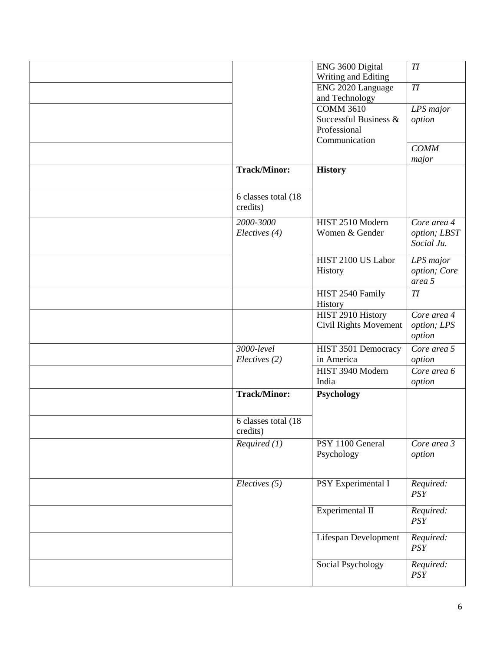|                      | ENG 3600 Digital             | TI               |
|----------------------|------------------------------|------------------|
|                      | Writing and Editing          |                  |
|                      | ENG 2020 Language            | $T\!I$           |
|                      | and Technology               |                  |
|                      | <b>COMM 3610</b>             | LPS major        |
|                      | Successful Business &        | option           |
|                      | Professional                 |                  |
|                      | Communication                |                  |
|                      |                              | <b>COMM</b>      |
|                      |                              | major            |
| <b>Track/Minor:</b>  | <b>History</b>               |                  |
|                      |                              |                  |
| 6 classes total (18  |                              |                  |
|                      |                              |                  |
| credits)             |                              |                  |
| 2000-3000            | HIST 2510 Modern             | Core area 4      |
| Electives (4)        | Women & Gender               | option; LBST     |
|                      |                              | Social Ju.       |
|                      | HIST 2100 US Labor           |                  |
|                      |                              | LPS major        |
|                      | History                      | option; Core     |
|                      |                              | area 5           |
|                      | HIST 2540 Family             | TI               |
|                      | History                      |                  |
|                      | HIST 2910 History            | Core area 4      |
|                      | <b>Civil Rights Movement</b> | option; LPS      |
|                      |                              | option           |
| 3000-level           | HIST 3501 Democracy          | Core area 5      |
| Electives (2)        | in America                   | option           |
|                      | HIST 3940 Modern             | Core area 6      |
|                      | India                        | option           |
| <b>Track/Minor:</b>  | Psychology                   |                  |
|                      |                              |                  |
|                      |                              |                  |
| 6 classes total (18) |                              |                  |
| credits)             |                              |                  |
| Required (1)         | PSY 1100 General             | Core area 3      |
|                      | Psychology                   | option           |
|                      |                              |                  |
|                      |                              |                  |
|                      |                              |                  |
| Electives (5)        | PSY Experimental I           | Required:        |
|                      |                              | <b>PSY</b>       |
|                      |                              |                  |
|                      | Experimental II              | Required:<br>PSY |
|                      |                              |                  |
|                      | <b>Lifespan Development</b>  | Required:        |
|                      |                              | PSY              |
|                      |                              |                  |
|                      | Social Psychology            | Required:<br>PSY |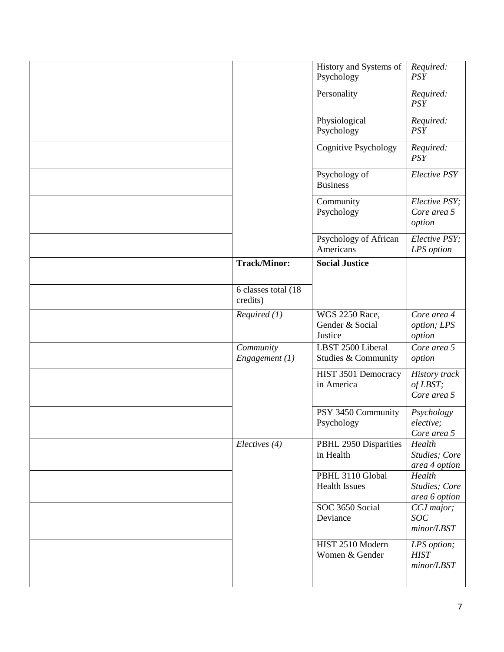|                                    | History and Systems of<br>Psychology                | Required:<br><b>PSY</b>                         |
|------------------------------------|-----------------------------------------------------|-------------------------------------------------|
|                                    | Personality                                         | Required:<br><b>PSY</b>                         |
|                                    | Physiological<br>Psychology                         | Required:<br><b>PSY</b>                         |
|                                    | <b>Cognitive Psychology</b>                         | Required:<br><b>PSY</b>                         |
|                                    | Psychology of<br><b>Business</b>                    | <b>Elective PSY</b>                             |
|                                    | Community<br>Psychology                             | Elective PSY;<br>Core area 5<br>option          |
|                                    | Psychology of African<br>Americans                  | Elective PSY;<br>LPS option                     |
| <b>Track/Minor:</b>                | <b>Social Justice</b>                               |                                                 |
| $6$ classes total (18)<br>credits) |                                                     |                                                 |
| Required (1)                       | <b>WGS 2250 Race,</b><br>Gender & Social<br>Justice | Core area 4<br>option; LPS<br>option            |
| Community<br>Engagement (1)        | LBST 2500 Liberal<br>Studies & Community            | Core area 5<br>option                           |
|                                    | HIST 3501 Democracy<br>in America                   | <b>History</b> track<br>of LBST;<br>Core area 5 |
|                                    | PSY 3450 Community<br>Psychology                    | Psychology<br>elective;<br>Core area 5          |
| Electives (4)                      | PBHL 2950 Disparities<br>in Health                  | Health<br>Studies; Core<br>area 4 option        |
|                                    | PBHL 3110 Global<br><b>Health Issues</b>            | Health<br>Studies; Core<br>area 6 option        |
|                                    | SOC 3650 Social<br>Deviance                         | CCJ major;<br>$SOC$<br>minor/LBST               |
|                                    | HIST 2510 Modern<br>Women & Gender                  | LPS option;<br><b>HIST</b><br>minor/LBST        |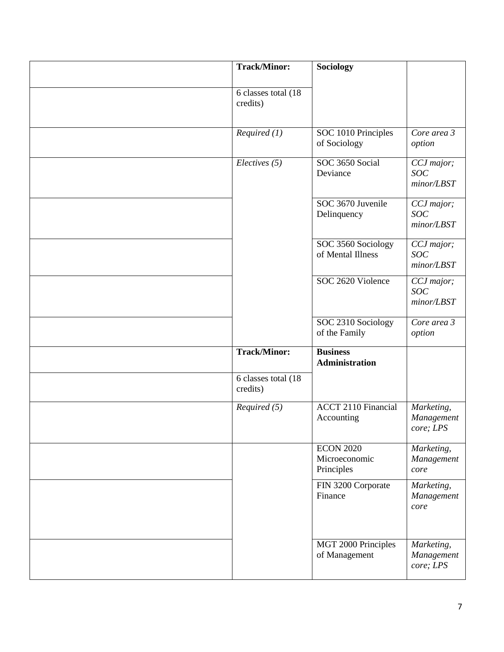| <b>Track/Minor:</b>                           | Sociology                                       |                                          |
|-----------------------------------------------|-------------------------------------------------|------------------------------------------|
|                                               |                                                 |                                          |
| 6 classes total (18)<br>credits)              |                                                 |                                          |
|                                               |                                                 |                                          |
| Required (1)                                  | SOC 1010 Principles<br>of Sociology             | Core area 3<br>option                    |
| Electives (5)                                 | SOC 3650 Social<br>Deviance                     | CCJ major;<br><b>SOC</b><br>minor / LBST |
|                                               | SOC 3670 Juvenile<br>Delinquency                | CCJ major;<br>SOC<br>minor/LBST          |
|                                               | SOC 3560 Sociology<br>of Mental Illness         | CCJ major;<br>SOC<br>minor/LBST          |
|                                               | SOC 2620 Violence                               | CCJ major;<br><b>SOC</b><br>minor / LBST |
|                                               | SOC 2310 Sociology<br>of the Family             | Core area 3<br>option                    |
| <b>Track/Minor:</b>                           | <b>Business</b><br>Administration               |                                          |
| $\overline{6}$ classes total (18)<br>credits) |                                                 |                                          |
| Required (5)                                  | <b>ACCT 2110 Financial</b><br>Accounting        | Marketing,<br>Management<br>core; LPS    |
|                                               | <b>ECON 2020</b><br>Microeconomic<br>Principles | Marketing,<br>Management<br>core         |
|                                               | FIN 3200 Corporate<br>Finance                   | Marketing,<br>Management<br>core         |
|                                               | MGT 2000 Principles<br>of Management            | Marketing,<br>Management<br>core; LPS    |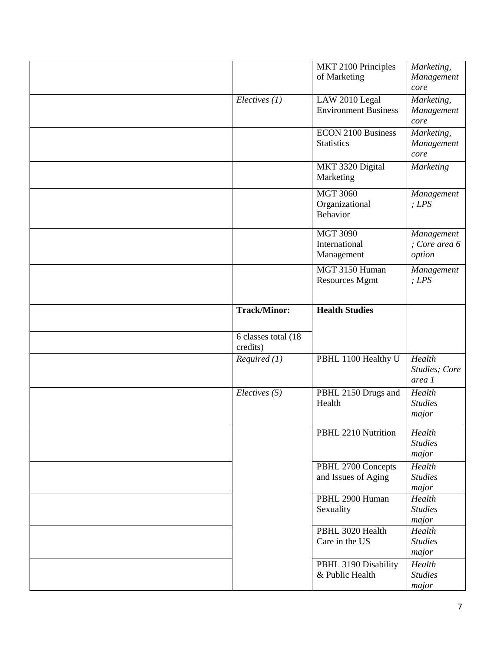|                                 | MKT 2100 Principles<br>of Marketing                        | Marketing,<br>Management<br>core      |
|---------------------------------|------------------------------------------------------------|---------------------------------------|
| Electives (1)                   | LAW 2010 Legal<br><b>Environment Business</b>              | Marketing,<br>Management<br>core      |
|                                 | <b>ECON 2100 Business</b><br><b>Statistics</b>             | Marketing,<br>Management<br>core      |
|                                 | MKT 3320 Digital<br>Marketing                              | <b>Marketing</b>                      |
|                                 | <b>MGT 3060</b><br>Organizational<br>Behavior              | Management<br>; LPS                   |
|                                 | <b>MGT 3090</b><br>International<br>Management             | Management<br>; Core area 6<br>option |
|                                 | MGT 3150 Human<br><b>Resources Mgmt</b>                    | Management<br>; LPS                   |
| <b>Track/Minor:</b>             | <b>Health Studies</b>                                      |                                       |
| 6 classes total (18<br>credits) |                                                            |                                       |
| Required(1)                     | PBHL 1100 Healthy U                                        | Health<br>Studies; Core<br>area 1     |
| Electives (5)                   | PBHL 2150 Drugs and<br>Health                              | Health                                |
|                                 |                                                            | <b>Studies</b><br>major               |
|                                 | PBHL 2210 Nutrition                                        | Health<br><b>Studies</b><br>major     |
|                                 | PBHL 2700 Concepts<br>and Issues of Aging                  | Health<br><b>Studies</b><br>major     |
|                                 | PBHL 2900 Human<br>Sexuality                               | Health<br><b>Studies</b><br>major     |
|                                 | PBHL 3020 Health<br>Care in the US<br>PBHL 3190 Disability | Health<br><b>Studies</b><br>major     |